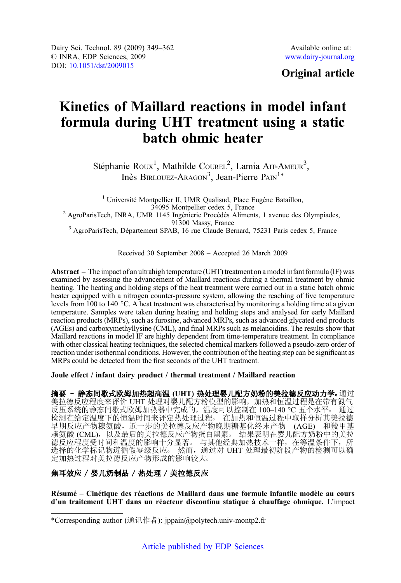## Original article

# Kinetics of Maillard reactions in model infant formula during UHT treatment using a static batch ohmic heater

Stéphanie Roux<sup>1</sup>, Mathilde Courel<sup>2</sup>, Lamia Arr-Ameur<sup>3</sup>, Inès BIRLOUEZ-ARAGON<sup>3</sup>, Jean-Pierre PAIN<sup>1\*</sup>

<sup>1</sup> Université Montpellier II, UMR Qualisud, Place Eugène Bataillon,  $34095$  Montpellier cedex 5, France <sup>2</sup> AgroParisTech, INRA, UMR 1145 Ingénierie Procédés Aliments, 1 avenue des Olympiades, 91300 Massy, France <sup>3</sup> AgroParisTech, Département SPAB, 16 rue Claude Bernard, 75231 Paris cedex 5, France

Received 30 September 2008 – Accepted 26 March 2009

Abstract – The impact of an ultrahigh temperature (UHT) treatment on a model infant formula (IF) was examined by assessing the advancement of Maillard reactions during a thermal treatment by ohmic heating. The heating and holding steps of the heat treatment were carried out in a static batch ohmic heater equipped with a nitrogen counter-pressure system, allowing the reaching of five temperature levels from 100 to 140 °C. A heat treatment was characterised by monitoring a holding time at a given temperature. Samples were taken during heating and holding steps and analysed for early Maillard reaction products (MRPs), such as furosine, advanced MRPs, such as advanced glycated end products (AGEs) and carboxymethyllysine (CML), and final MRPs such as melanoidins. The results show that Maillard reactions in model IF are highly dependent from time-temperature treatment. In compliance with other classical heating techniques, the selected chemical markers followed a pseudo-zero order of reaction under isothermal conditions. However, the contribution of the heating step can be significant as MRPs could be detected from the first seconds of the UHT treatment.

Joule effect / infant dairy product / thermal treatment / Maillard reaction

摘要 - 静态间歇式欧姆加热超高温 (UHT) 热处理婴儿配方奶粉的美拉德反应动力学。通过 美拉德反应程度来评价 UHT 处理对婴儿配方粉模型的影响,加热和恒温过程是在带有氮气 反压系统的静态间歇式欧姆加热器中完成的,温度可以控制在 100-140 ℃ 五个水平。 通过 检测在给定温度下的恒温时间来评定热处理过程○ 在加热和恒温过程中取样分析其美拉德 早期反应产物糠氨酸,近一步的美拉德反应产物晚期糖基化终末产物 (AGE) 和羧甲基 赖氨酸 (CML),以及最后的美拉德反应产物蛋白黑素。 结果表明在婴儿配方奶粉中的美拉 德反应程度受时间和温度的影响十分显著。 与其他经典加热技术一样, 在等温条件下, 所 选择的化学标记物遵循假零级反应。 然而, 通过对 UHT 处理最初阶段产物的检测可以确 定加热过程对美拉德反应产物形成的影响较大。

### 焦耳效应 / 婴儿奶制品 / 热处理 / 美拉德反应

Résumé – Cinétique des réactions de Maillard dans une formule infantile modèle au cours d'un traitement UHT dans un réacteur discontinu statique à chauffage ohmique. L'impact

<sup>\*</sup>Corresponding author (通讯作者): jppain@polytech.univ-montp2.fr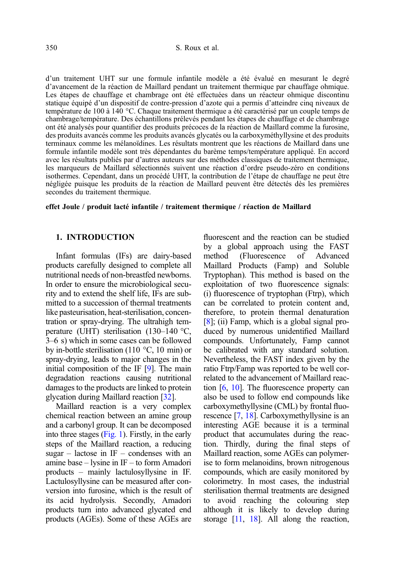d'un traitement UHT sur une formule infantile modèle a été évalué en mesurant le degré d'avancement de la réaction de Maillard pendant un traitement thermique par chauffage ohmique. Les étapes de chauffage et chambrage ont été effectuées dans un réacteur ohmique discontinu statique équipé d'un dispositif de contre-pression d'azote qui a permis d'atteindre cinq niveaux de température de 100 à 140 °C. Chaque traitement thermique a été caractérisé par un couple temps de chambrage/température. Des échantillons prélevés pendant les étapes de chauffage et de chambrage ont été analysés pour quantifier des produits précoces de la réaction de Maillard comme la furosine, des produits avancés comme les produits avancés glycatés ou la carboxyméthyllysine et des produits terminaux comme les mélanoïdines. Les résultats montrent que les réactions de Maillard dans une formule infantile modèle sont très dépendantes du barème temps/température appliqué. En accord avec les résultats publiés par d'autres auteurs sur des méthodes classiques de traitement thermique, les marqueurs de Maillard sélectionnés suivent une réaction d'ordre pseudo-zéro en conditions isothermes. Cependant, dans un procédé UHT, la contribution de l'étape de chauffage ne peut être négligée puisque les produits de la réaction de Maillard peuvent être détectés dès les premières secondes du traitement thermique.

effet Joule / produit lacté infantile / traitement thermique / réaction de Maillard

#### 1. INTRODUCTION

Infant formulas (IFs) are dairy-based products carefully designed to complete all nutritional needs of non-breastfed newborns. In order to ensure the microbiological security and to extend the shelf life, IFs are submitted to a succession of thermal treatments like pasteurisation, heat-sterilisation, concentration or spray-drying. The ultrahigh temperature (UHT) sterilisation (130–140 °C, 3–6 s) which in some cases can be followed by in-bottle sterilisation (110 °C, 10 min) or spray-drying, leads to major changes in the initial composition of the IF [[9](#page-12-0)]. The main degradation reactions causing nutritional damages to the products are linked to protein glycation during Maillard reaction [[32](#page-13-0)].

Maillard reaction is a very complex chemical reaction between an amine group and a carbonyl group. It can be decomposed into three stages [\(Fig. 1](#page-2-0)). Firstly, in the early steps of the Maillard reaction, a reducing sugar – lactose in  $IF$  – condenses with an amine base – lysine in IF – to form Amadori products – mainly lactulosyllysine in IF. Lactulosyllysine can be measured after conversion into furosine, which is the result of its acid hydrolysis. Secondly, Amadori products turn into advanced glycated end products (AGEs). Some of these AGEs are fluorescent and the reaction can be studied by a global approach using the FAST<br>method (Fluorescence of Advanced (Fluorescence of Advanced Maillard Products (Famp) and Soluble Tryptophan). This method is based on the exploitation of two fluorescence signals: (i) fluorescence of tryptophan (Ftrp), which can be correlated to protein content and, therefore, to protein thermal denaturation [[8](#page-12-0)]; (ii) Famp, which is a global signal produced by numerous unidentified Maillard compounds. Unfortunately, Famp cannot be calibrated with any standard solution. Nevertheless, the FAST index given by the ratio Ftrp/Famp was reported to be well correlated to the advancement of Maillard reaction [\[6,](#page-12-0) [10](#page-12-0)]. The fluorescence property can also be used to follow end compounds like carboxymethyllysine (CML) by frontal fluorescence [\[7](#page-12-0), [18\]](#page-13-0). Carboxymethyllysine is an interesting AGE because it is a terminal product that accumulates during the reaction. Thirdly, during the final steps of Maillard reaction, some AGEs can polymerise to form melanoidins, brown nitrogenous compounds, which are easily monitored by colorimetry. In most cases, the industrial sterilisation thermal treatments are designed to avoid reaching the colouring step although it is likely to develop during storage [[11](#page-12-0), [18](#page-13-0)]. All along the reaction,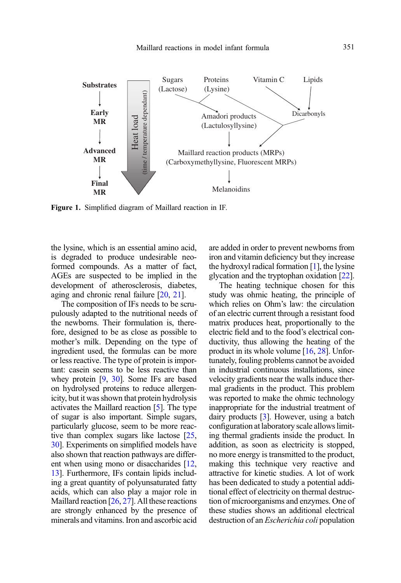<span id="page-2-0"></span>

Figure 1. Simplified diagram of Maillard reaction in IF.

the lysine, which is an essential amino acid, is degraded to produce undesirable neoformed compounds. As a matter of fact, AGEs are suspected to be implied in the development of atherosclerosis, diabetes, aging and chronic renal failure [[20](#page-13-0), [21\]](#page-13-0).

The composition of IFs needs to be scrupulously adapted to the nutritional needs of the newborns. Their formulation is, therefore, designed to be as close as possible to mother's milk. Depending on the type of ingredient used, the formulas can be more or less reactive. The type of protein is important: casein seems to be less reactive than whey protein [[9,](#page-12-0) [30\]](#page-13-0). Some IFs are based on hydrolysed proteins to reduce allergenicity, but it was shown that protein hydrolysis activates the Maillard reaction [\[5\]](#page-12-0). The type of sugar is also important. Simple sugars, particularly glucose, seem to be more reactive than complex sugars like lactose [\[25](#page-13-0), [30](#page-13-0)]. Experiments on simplified models have also shown that reaction pathways are different when using mono or disaccharides [\[12](#page-12-0), [13](#page-12-0)]. Furthermore, IFs contain lipids including a great quantity of polyunsaturated fatty acids, which can also play a major role in Maillard reaction [\[26](#page-13-0), [27\]](#page-13-0). All these reactions are strongly enhanced by the presence of minerals and vitamins. Iron and ascorbic acid are added in order to prevent newborns from iron and vitamin deficiency but they increase the hydroxyl radical formation  $[1]$ , the lysine glycation and the tryptophan oxidation [[22](#page-13-0)].

The heating technique chosen for this study was ohmic heating, the principle of which relies on Ohm's law: the circulation of an electric current through a resistant food matrix produces heat, proportionally to the electric field and to the food's electrical conductivity, thus allowing the heating of the product in its whole volume [\[16,](#page-13-0) [28](#page-13-0)]. Unfortunately, fouling problems cannot be avoided in industrial continuous installations, since velocity gradients near the walls induce thermal gradients in the product. This problem was reported to make the ohmic technology inappropriate for the industrial treatment of dairy products [\[3](#page-12-0)]. However, using a batch configuration at laboratory scale allows limiting thermal gradients inside the product. In addition, as soon as electricity is stopped, no more energy is transmitted to the product, making this technique very reactive and attractive for kinetic studies. A lot of work has been dedicated to study a potential additional effect of electricity on thermal destruction of microorganisms and enzymes. One of these studies shows an additional electrical destruction of an Escherichia coli population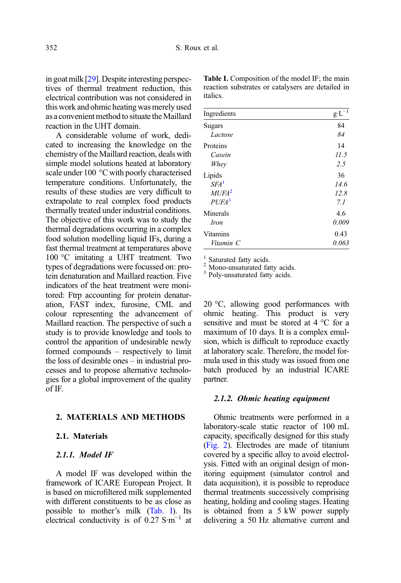in goat milk [\[29\]](#page-13-0). Despite interesting perspectives of thermal treatment reduction, this electrical contribution was not considered in this work and ohmic heating was merely used as a convenient method to situate the Maillard reaction in the UHT domain.

A considerable volume of work, dedicated to increasing the knowledge on the chemistry of the Maillard reaction, deals with simple model solutions heated at laboratory scale under 100 °C with poorly characterised temperature conditions. Unfortunately, the results of these studies are very difficult to extrapolate to real complex food products thermally treated under industrial conditions. The objective of this work was to study the thermal degradations occurring in a complex food solution modelling liquid IFs, during a fast thermal treatment at temperatures above 100 °C imitating a UHT treatment. Two types of degradations were focussed on: protein denaturation and Maillard reaction. Five indicators of the heat treatment were monitored: Ftrp accounting for protein denaturation, FAST index, furosine, CML and colour representing the advancement of Maillard reaction. The perspective of such a study is to provide knowledge and tools to control the apparition of undesirable newly formed compounds – respectively to limit the loss of desirable ones – in industrial processes and to propose alternative technologies for a global improvement of the quality of IF.

#### 2. MATERIALS AND METHODS

#### 2.1. Materials

#### 2.1.1. Model IF

A model IF was developed within the framework of ICARE European Project. It is based on microfiltered milk supplemented with different constituents to be as close as possible to mother's milk (Tab. I). Its electrical conductivity is of 0.27 S·m<sup>-1</sup> at

| Ingredients       | $g \cdot L$ |
|-------------------|-------------|
| Sugars            | 84          |
| Lactose           | 84          |
| Proteins          | 14          |
| Casein            | 11.5        |
| Whey              | 2.5         |
| Lipids            | 36          |
| SFA <sup>1</sup>  | 14.6        |
| MUFA <sup>2</sup> | 12.8        |
| PUFA <sup>3</sup> | 7. I        |
| Minerals          | 4.6         |
| <i>Iron</i>       | 0.009       |
| Vitamins          | 0.43        |
| Vitamin C         | 0.063       |

Table I. Composition of the model IF; the main reaction substrates or catalysers are detailed in italics.

<sup>1</sup> Saturated fatty acids. <sup>2</sup> Mono-unsaturated fatty acids.  $\frac{3}{3}$  Poly-unsaturated fatty acids.

20 °C, allowing good performances with ohmic heating. This product is very sensitive and must be stored at 4 °C for a maximum of 10 days. It is a complex emulsion, which is difficult to reproduce exactly at laboratory scale. Therefore, the model formula used in this study was issued from one batch produced by an industrial ICARE partner.

#### 2.1.2. Ohmic heating equipment

Ohmic treatments were performed in a laboratory-scale static reactor of 100 mL capacity, specifically designed for this study ([Fig. 2](#page-4-0)). Electrodes are made of titanium covered by a specific alloy to avoid electrolysis. Fitted with an original design of monitoring equipment (simulator control and data acquisition), it is possible to reproduce thermal treatments successively comprising heating, holding and cooling stages. Heating is obtained from a 5 kW power supply delivering a 50 Hz alternative current and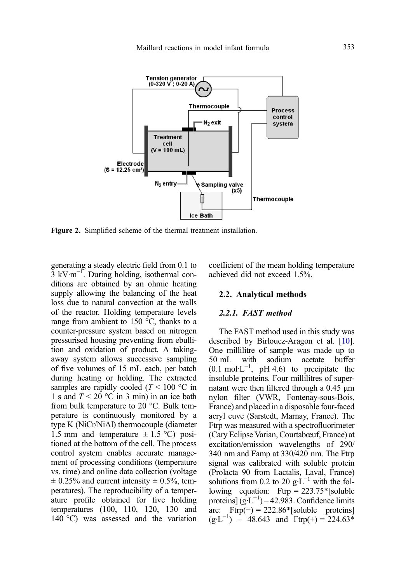<span id="page-4-0"></span>

Figure 2. Simplified scheme of the thermal treatment installation.

generating a steady electric field from 0.1 to 3 kV·m−<sup>1</sup> . During holding, isothermal conditions are obtained by an ohmic heating supply allowing the balancing of the heat loss due to natural convection at the walls of the reactor. Holding temperature levels range from ambient to 150  $^{\circ}$ C, thanks to a counter-pressure system based on nitrogen pressurised housing preventing from ebullition and oxidation of product. A takingaway system allows successive sampling of five volumes of 15 mL each, per batch during heating or holding. The extracted samples are rapidly cooled ( $T < 100$  °C in 1 s and  $T < 20$  °C in 3 min) in an ice bath from bulk temperature to 20 °C. Bulk temperature is continuously monitored by a type K (NiCr/NiAl) thermocouple (diameter 1.5 mm and temperature  $\pm$  1.5 °C) positioned at the bottom of the cell. The process control system enables accurate management of processing conditions (temperature vs. time) and online data collection (voltage  $\pm$  0.25% and current intensity  $\pm$  0.5%, temperatures). The reproducibility of a temperature profile obtained for five holding temperatures (100, 110, 120, 130 and 140 °C) was assessed and the variation coefficient of the mean holding temperature achieved did not exceed 1.5%.

#### 2.2. Analytical methods

#### 2.2.1. FAST method

The FAST method used in this study was described by Birlouez-Aragon et al. [[10](#page-12-0)]. One millilitre of sample was made up to 50 mL with sodium acetate buffer 50 mL with sodium acetate buffer  $(0.1 \text{ mol·L}^{-1}$ , pH 4.6) to precipitate the insoluble proteins. Four millilitres of supernatant were then filtered through a 0.45 μm nylon filter (VWR, Fontenay-sous-Bois, France) and placed in a disposable four-faced acryl cuve (Sarstedt, Marnay, France). The Ftrp was measured with a spectrofluorimeter (Cary Eclipse Varian, Courtabœuf, France) at excitation/emission wavelengths of 290/ 340 nm and Famp at 330/420 nm. The Ftrp signal was calibrated with soluble protein (Prolacta 90 from Lactalis, Laval, France) solutions from 0.2 to 20 g⋅L<sup>-1</sup> with the following equation:  $Ftrp = 223.75$ <sup>\*</sup>[soluble] proteins]  $(g<sup>-1</sup>) - 42.983$ . Confidence limits are: Ftrp $(-) = 222.86*$ [soluble proteins]  $(g \cdot L^{-1})$  – 48.643 and Ftrp(+) = 224.63<sup>\*</sup>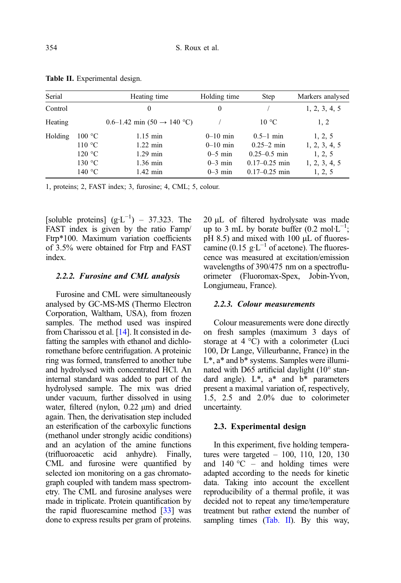| Serial  |                                                | Heating time                                                             | Holding time                                                    | <b>Step</b>                                                                                   | Markers analysed                                                |
|---------|------------------------------------------------|--------------------------------------------------------------------------|-----------------------------------------------------------------|-----------------------------------------------------------------------------------------------|-----------------------------------------------------------------|
| Control |                                                | 0                                                                        | $\theta$                                                        |                                                                                               | 1, 2, 3, 4, 5                                                   |
| Heating |                                                | $0.6-1.42$ min $(50 \rightarrow 140$ °C)                                 |                                                                 | $10^{\circ}$ C                                                                                | 1, 2                                                            |
| Holding | 100 °C<br>110 °C<br>120 °C<br>130 °C<br>140 °C | $1.15$ min<br>$1.22 \text{ min}$<br>$1.29$ min<br>1.36 min<br>$1.42$ min | $0-10$ min<br>$0-10$ min<br>$0-5$ min<br>$0-3$ min<br>$0-3$ min | $0.5 - 1$ min<br>$0.25 - 2$ min<br>$0.25 - 0.5$ min<br>$0.17 - 0.25$ min<br>$0.17 - 0.25$ min | 1, 2, 5<br>1, 2, 3, 4, 5<br>1, 2, 5<br>1, 2, 3, 4, 5<br>1, 2, 5 |

Table II. Experimental design.

1, proteins; 2, FAST index; 3, furosine; 4, CML; 5, colour.

[soluble proteins]  $(g \cdot L^{-1}) - 37.323$ . The FAST index is given by the ratio Famp/ Ftrp\*100. Maximum variation coefficients of 3.5% were obtained for Ftrp and FAST index.

#### 2.2.2. Furosine and CML analysis

Furosine and CML were simultaneously analysed by GC-MS-MS (Thermo Electron Corporation, Waltham, USA), from frozen samples. The method used was inspired from Charissou et al. [\[14\]](#page-12-0). It consisted in defatting the samples with ethanol and dichloromethane before centrifugation. A proteinic ring was formed, transferred to another tube and hydrolysed with concentrated HCl. An internal standard was added to part of the hydrolysed sample. The mix was dried under vacuum, further dissolved in using water, filtered (nylon, 0.22 μm) and dried again. Then, the derivatisation step included an esterification of the carboxylic functions (methanol under strongly acidic conditions) and an acylation of the amine functions (trifluoroacetic acid anhydre). Finally, CML and furosine were quantified by selected ion monitoring on a gas chromatograph coupled with tandem mass spectrometry. The CML and furosine analyses were made in triplicate. Protein quantification by the rapid fluorescamine method [\[33](#page-13-0)] was done to express results per gram of proteins. 20 μL of filtered hydrolysate was made up to 3 mL by borate buffer (0.2 mol·L<sup>-1</sup>; pH 8.5) and mixed with 100 μL of fluorescamine (0.15 g·L<sup>-1</sup> of acetone). The fluorescence was measured at excitation/emission wavelengths of 390/475 nm on a spectrofluorimeter (Fluoromax-Spex, Jobin-Yvon, Longjumeau, France).

#### 2.2.3. Colour measurements

Colour measurements were done directly on fresh samples (maximum 3 days of storage at 4 °C) with a colorimeter (Luci 100, Dr Lange, Villeurbanne, France) in the L\*, a\* and b\* systems. Samples were illuminated with D65 artificial daylight (10° standard angle). L\*, a\* and b\* parameters present a maximal variation of, respectively, 1.5, 2.5 and 2.0% due to colorimeter uncertainty.

#### 2.3. Experimental design

In this experiment, five holding temperatures were targeted – 100, 110, 120, 130 and 140  $^{\circ}$ C – and holding times were adapted according to the needs for kinetic data. Taking into account the excellent reproducibility of a thermal profile, it was decided not to repeat any time/temperature treatment but rather extend the number of sampling times (Tab. II). By this way,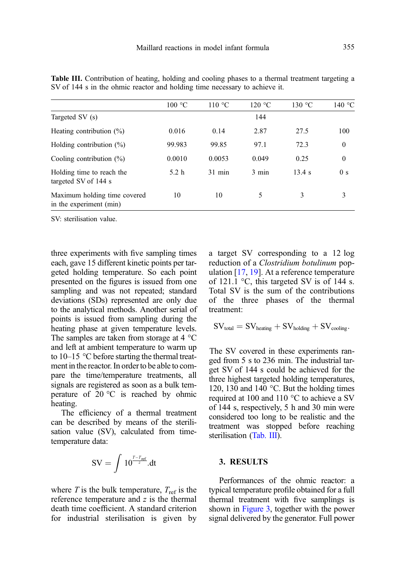|                                                         | 100 °C           | 110 °C   | 120 °C | 130 °C | 140 °C         |
|---------------------------------------------------------|------------------|----------|--------|--------|----------------|
| Targeted SV (s)                                         |                  |          | 144    |        |                |
| Heating contribution $(\%)$                             | 0.016            | 0.14     | 2.87   | 27.5   | 100            |
| Holding contribution $(\%)$                             | 99.983           | 99.85    | 97.1   | 72.3   | $\mathbf{0}$   |
| Cooling contribution $(\%)$                             | 0.0010           | 0.0053   | 0.049  | 0.25   | $\mathbf{0}$   |
| Holding time to reach the<br>targeted SV of 144 s       | 5.2 <sub>h</sub> | $31$ min | 3 min  | 13.4 s | 0 <sub>s</sub> |
| Maximum holding time covered<br>in the experiment (min) | 10               | 10       | 5      | 3      | 3              |

<span id="page-6-0"></span>Table III. Contribution of heating, holding and cooling phases to a thermal treatment targeting a SV of 144 s in the ohmic reactor and holding time necessary to achieve it.

SV: sterilisation value.

three experiments with five sampling times each, gave 15 different kinetic points per targeted holding temperature. So each point presented on the figures is issued from one sampling and was not repeated; standard deviations (SDs) represented are only due to the analytical methods. Another serial of points is issued from sampling during the heating phase at given temperature levels. The samples are taken from storage at 4 °C and left at ambient temperature to warm up to 10–15 °C before starting the thermal treatment in the reactor. In order to be able to compare the time/temperature treatments, all signals are registered as soon as a bulk temperature of  $20^{\circ}$ C is reached by ohmic heating.

The efficiency of a thermal treatment can be described by means of the sterilisation value (SV), calculated from timetemperature data:

$$
SV = \int 10^{\frac{T-T_{\text{ref}}}{z}} dt
$$

where T is the bulk temperature,  $T_{ref}$  is the reference temperature and  $z$  is the thermal death time coefficient. A standard criterion for industrial sterilisation is given by a target SV corresponding to a 12 log reduction of a Clostridium botulinum population [[17,](#page-13-0) [19](#page-13-0)]. At a reference temperature of 121.1  $\degree$ C, this targeted SV is of 144 s. Total SV is the sum of the contributions of the three phases of the thermal treatment:

$$
SV_{total} = SV_{heating} + SV_{holding} + SV_{cooling}.
$$

The SV covered in these experiments ranged from 5 s to 236 min. The industrial target SV of 144 s could be achieved for the three highest targeted holding temperatures, 120, 130 and 140 °C. But the holding times required at 100 and 110 °C to achieve a SV of 144 s, respectively, 5 h and 30 min were considered too long to be realistic and the treatment was stopped before reaching sterilisation (Tab. III).

#### 3. RESULTS

Performances of the ohmic reactor: a typical temperature profile obtained for a full thermal treatment with five samplings is shown in [Figure 3](#page-7-0), together with the power signal delivered by the generator. Full power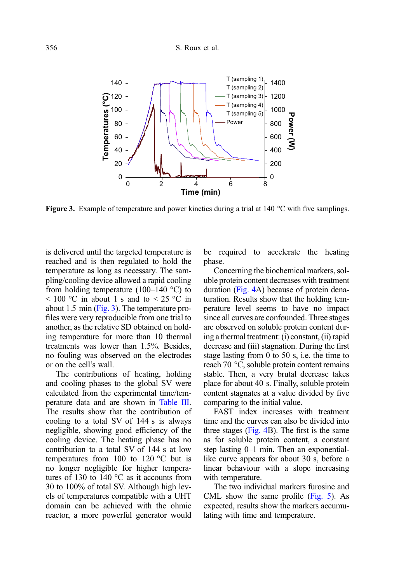#### <span id="page-7-0"></span>356 S. Roux et al.



**Figure 3.** Example of temperature and power kinetics during a trial at 140  $\degree$ C with five samplings.

is delivered until the targeted temperature is reached and is then regulated to hold the temperature as long as necessary. The sampling/cooling device allowed a rapid cooling from holding temperature (100–140  $^{\circ}$ C) to  $\leq 100$  °C in about 1 s and to  $\leq 25$  °C in about 1.5 min (Fig. 3). The temperature profiles were very reproducible from one trial to another, as the relative SD obtained on holding temperature for more than 10 thermal treatments was lower than 1.5%. Besides, no fouling was observed on the electrodes or on the cell's wall.

The contributions of heating, holding and cooling phases to the global SV were calculated from the experimental time/temperature data and are shown in [Table III.](#page-6-0) The results show that the contribution of cooling to a total SV of 144 s is always negligible, showing good efficiency of the cooling device. The heating phase has no contribution to a total SV of 144 s at low temperatures from 100 to 120 °C but is no longer negligible for higher temperatures of 130 to 140  $^{\circ}$ C as it accounts from 30 to 100% of total SV. Although high levels of temperatures compatible with a UHT domain can be achieved with the ohmic reactor, a more powerful generator would be required to accelerate the heating phase.

Concerning the biochemical markers, soluble protein content decreases with treatment duration ([Fig. 4A](#page-8-0)) because of protein denaturation. Results show that the holding temperature level seems to have no impact since all curves are confounded. Three stages are observed on soluble protein content during a thermal treatment: (i) constant, (ii) rapid decrease and (iii) stagnation. During the first stage lasting from 0 to 50 s, i.e. the time to reach 70 °C, soluble protein content remains stable. Then, a very brutal decrease takes place for about 40 s. Finally, soluble protein content stagnates at a value divided by five comparing to the initial value.

FAST index increases with treatment time and the curves can also be divided into three stages [\(Fig. 4](#page-8-0)B). The first is the same as for soluble protein content, a constant step lasting 0–1 min. Then an exponentiallike curve appears for about 30 s, before a linear behaviour with a slope increasing with temperature.

The two individual markers furosine and CML show the same profile [\(Fig. 5\)](#page-8-0). As expected, results show the markers accumulating with time and temperature.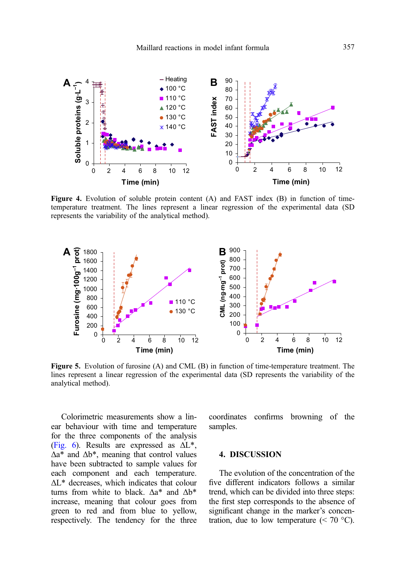<span id="page-8-0"></span>

Figure 4. Evolution of soluble protein content (A) and FAST index (B) in function of timetemperature treatment. The lines represent a linear regression of the experimental data (SD represents the variability of the analytical method).



Figure 5. Evolution of furosine (A) and CML (B) in function of time-temperature treatment. The lines represent a linear regression of the experimental data (SD represents the variability of the analytical method).

Colorimetric measurements show a linear behaviour with time and temperature for the three components of the analysis ([Fig. 6\)](#page-9-0). Results are expressed as  $\Delta L^*$ , Δa\* and Δb\*, meaning that control values have been subtracted to sample values for each component and each temperature. ΔL\* decreases, which indicates that colour turns from white to black.  $\Delta a^*$  and  $\Delta b^*$ increase, meaning that colour goes from green to red and from blue to yellow, respectively. The tendency for the three coordinates confirms browning of the samples.

#### 4. DISCUSSION

The evolution of the concentration of the five different indicators follows a similar trend, which can be divided into three steps: the first step corresponds to the absence of significant change in the marker's concentration, due to low temperature  $(< 70 °C)$ .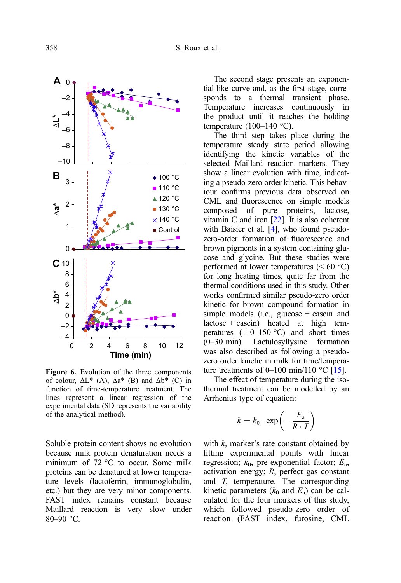<span id="page-9-0"></span>

Figure 6. Evolution of the three components of colour,  $\Delta L^*$  (A),  $\Delta a^*$  (B) and  $\Delta b^*$  (C) in function of time-temperature treatment. The lines represent a linear regression of the experimental data (SD represents the variability of the analytical method).

Soluble protein content shows no evolution because milk protein denaturation needs a minimum of 72 °C to occur. Some milk proteins can be denatured at lower temperature levels (lactoferrin, immunoglobulin, etc.) but they are very minor components. FAST index remains constant because Maillard reaction is very slow under 80–90 °C.

The second stage presents an exponential-like curve and, as the first stage, corresponds to a thermal transient phase. Temperature increases continuously in the product until it reaches the holding temperature  $(100-140 \degree C)$ .

The third step takes place during the temperature steady state period allowing identifying the kinetic variables of the selected Maillard reaction markers. They show a linear evolution with time, indicating a pseudo-zero order kinetic. This behaviour confirms previous data observed on CML and fluorescence on simple models composed of pure proteins, lactose, vitamin C and iron [\[22\]](#page-13-0). It is also coherent with Baisier et al. [\[4\]](#page-12-0), who found pseudozero-order formation of fluorescence and brown pigments in a system containing glucose and glycine. But these studies were performed at lower temperatures  $(< 60 °C)$ for long heating times, quite far from the thermal conditions used in this study. Other works confirmed similar pseudo-zero order kinetic for brown compound formation in simple models (i.e., glucose  $+$  casein and  $lactose + casein)$  heated at high temperatures (110–150 °C) and short times (0–30 min). Lactulosyllysine formation was also described as following a pseudozero order kinetic in milk for time/temperature treatments of 0–100 min/110  $^{\circ}$ C [\[15\]](#page-12-0).

The effect of temperature during the isothermal treatment can be modelled by an Arrhenius type of equation:

$$
k = k_0 \cdot \exp\left(-\frac{E_a}{R \cdot T}\right)
$$

with  $k$ , marker's rate constant obtained by fitting experimental points with linear regression;  $k_0$ , pre-exponential factor;  $E_a$ , activation energy; R, perfect gas constant and T, temperature. The corresponding kinetic parameters  $(k_0 \text{ and } E_a)$  can be calculated for the four markers of this study, which followed pseudo-zero order of reaction (FAST index, furosine, CML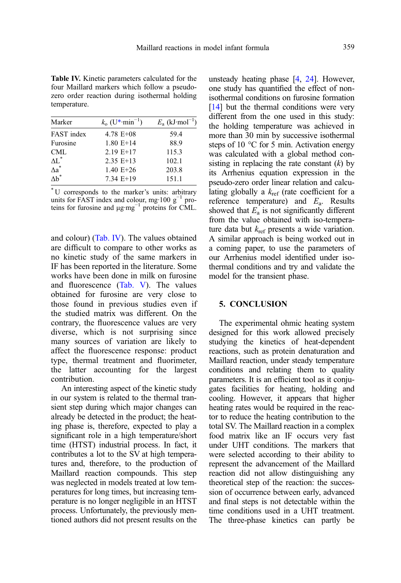Table IV. Kinetic parameters calculated for the four Maillard markers which follow a pseudozero order reaction during isothermal holding temperature.

| Marker              | $k_{o}$ (U*·min <sup>-1</sup> ) | $E_{\rm a}$ (kJ·mol <sup>-1</sup> ) |
|---------------------|---------------------------------|-------------------------------------|
| FAST index          | $4.78$ E+08                     | 59.4                                |
| Furosine            | $1.80$ E+14                     | 88.9                                |
| CML                 | $2.19 E+17$                     | 115.3                               |
| $\Lambda L^*$       | $2.35$ E+13                     | 102.1                               |
| $\Delta a^*$        | $1.40 E+26$                     | 203.8                               |
| $\Delta \text{b}^*$ | 7.34 E+19                       | 151.1                               |

\* U corresponds to the marker's units: arbitrary units for FAST index and colour, mg·100  $g^{-1}$  proteins for furosine and μg·mg<sup>-1</sup> proteins for CML.

and colour) (Tab. IV). The values obtained are difficult to compare to other works as no kinetic study of the same markers in IF has been reported in the literature. Some works have been done in milk on furosine and fluorescence [\(Tab. V](#page-11-0)). The values obtained for furosine are very close to those found in previous studies even if the studied matrix was different. On the contrary, the fluorescence values are very diverse, which is not surprising since many sources of variation are likely to affect the fluorescence response: product type, thermal treatment and fluorimeter, the latter accounting for the largest contribution.

An interesting aspect of the kinetic study in our system is related to the thermal transient step during which major changes can already be detected in the product; the heating phase is, therefore, expected to play a significant role in a high temperature/short time (HTST) industrial process. In fact, it contributes a lot to the SV at high temperatures and, therefore, to the production of Maillard reaction compounds. This step was neglected in models treated at low temperatures for long times, but increasing temperature is no longer negligible in an HTST process. Unfortunately, the previously mentioned authors did not present results on the

unsteady heating phase [[4,](#page-12-0) [24](#page-13-0)]. However, one study has quantified the effect of nonisothermal conditions on furosine formation [[14\]](#page-12-0) but the thermal conditions were very different from the one used in this study: the holding temperature was achieved in more than 30 min by successive isothermal steps of 10 °C for 5 min. Activation energy was calculated with a global method consisting in replacing the rate constant  $(k)$  by its Arrhenius equation expression in the pseudo-zero order linear relation and calculating globally a  $k_{ref}$  (rate coefficient for a reference temperature) and  $E_a$ . Results showed that  $E_a$  is not significantly different from the value obtained with iso-temperature data but  $k_{\text{ref}}$  presents a wide variation. A similar approach is being worked out in a coming paper, to use the parameters of our Arrhenius model identified under isothermal conditions and try and validate the model for the transient phase.

#### 5. CONCLUSION

The experimental ohmic heating system designed for this work allowed precisely studying the kinetics of heat-dependent reactions, such as protein denaturation and Maillard reaction, under steady temperature conditions and relating them to quality parameters. It is an efficient tool as it conjugates facilities for heating, holding and cooling. However, it appears that higher heating rates would be required in the reactor to reduce the heating contribution to the total SV. The Maillard reaction in a complex food matrix like an IF occurs very fast under UHT conditions. The markers that were selected according to their ability to represent the advancement of the Maillard reaction did not allow distinguishing any theoretical step of the reaction: the succession of occurrence between early, advanced and final steps is not detectable within the time conditions used in a UHT treatment. The three-phase kinetics can partly be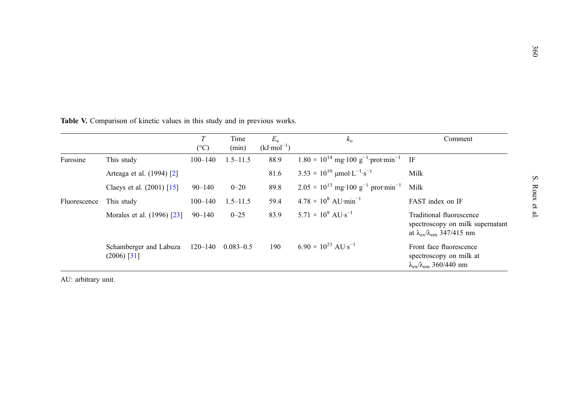|              |                                         | T<br>$({}^{\circ}C)$ | Time<br>(min) | $E_{\rm a}$<br>$(kJ \cdot mol^{-1})$ | $k_{\rm o}$                                                          | Comment                                                                                                           |
|--------------|-----------------------------------------|----------------------|---------------|--------------------------------------|----------------------------------------------------------------------|-------------------------------------------------------------------------------------------------------------------|
| Furosine     | This study                              | $100 - 140$          | $1.5 - 11.5$  | 88.9                                 | $1.80 \times 10^{14}$ mg·100 g <sup>-1</sup> ·prot·min <sup>-1</sup> | IF                                                                                                                |
|              | Arteaga et al. (1994) [2]               |                      |               | 81.6                                 | $3.53 \times 10^{10}$ µmol·L <sup>-1</sup> ·s <sup>-1</sup>          | Milk                                                                                                              |
|              | Claeys et al. $(2001)$ [15]             | $90 - 140$           | $0 - 20$      | 89.8                                 | $2.05 \times 10^{13}$ mg·100 g <sup>-1</sup> prot·min <sup>-1</sup>  | Milk                                                                                                              |
| Fluorescence | This study                              | $100 - 140$          | $1.5 - 11.5$  | 59.4                                 | $4.78 \times 10^8$ AU-min <sup>-1</sup>                              | FAST index on IF                                                                                                  |
|              | Morales et al. (1996) [23]              | $90 - 140$           | $0 - 25$      | 83.9                                 | 5.71 $\times$ 10 <sup>9</sup> AU <sub>'s</sub> <sup>-1</sup>         | Traditional fluorescence<br>spectroscopy on milk supernatant<br>at $\lambda_{\rm ex}/\lambda_{\rm em}$ 347/415 nm |
|              | Schamberger and Labuza<br>$(2006)$ [31] | $120 - 140$          | $0.083 - 0.5$ | 190                                  | 6.90 $\times$ 10 <sup>23</sup> AU <sub>'s</sub> <sup>-1</sup>        | Front face fluorescence<br>spectroscopy on milk at<br>$\lambda_{ex}/\lambda_{em}$ 360/440 nm                      |

<span id="page-11-0"></span>Table V. Comparison of kinetic values in this study and in previous works.

AU: arbitrary unit.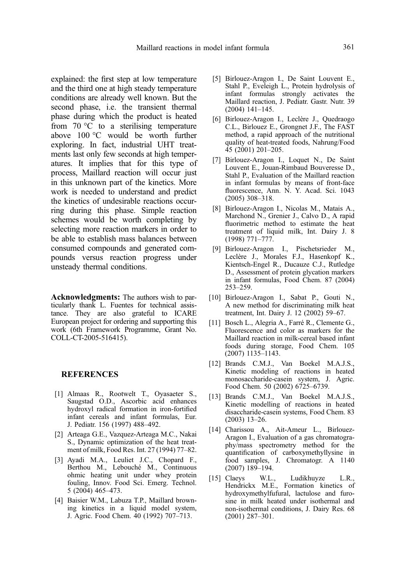<span id="page-12-0"></span>explained: the first step at low temperature and the third one at high steady temperature conditions are already well known. But the second phase, i.e. the transient thermal phase during which the product is heated from  $70^{\circ}$ C to a sterilising temperature above 100 °C would be worth further exploring. In fact, industrial UHT treatments last only few seconds at high temperatures. It implies that for this type of process, Maillard reaction will occur just in this unknown part of the kinetics. More work is needed to understand and predict the kinetics of undesirable reactions occurring during this phase. Simple reaction schemes would be worth completing by selecting more reaction markers in order to be able to establish mass balances between consumed compounds and generated compounds versus reaction progress under unsteady thermal conditions.

Acknowledgments: The authors wish to particularly thank L. Fuentes for technical assistance. They are also grateful to ICARE European project for ordering and supporting this work (6th Framework Programme, Grant No. COLL-CT-2005-516415).

#### **REFERENCES**

- [1] Almaas R., Rootwelt T., Oyasaeter S., Saugstad O.D., Ascorbic acid enhances hydroxyl radical formation in iron-fortified infant cereals and infant formulas, Eur. J. Pediatr. 156 (1997) 488–492.
- [2] Arteaga G.E., Vazquez-Arteaga M.C., Nakai S., Dynamic optimization of the heat treatment of milk, Food Res. Int. 27 (1994) 77–82.
- [3] Ayadi M.A., Leuliet J.C., Chopard F., Berthou M., Lebouché M., Continuous ohmic heating unit under whey protein fouling, Innov. Food Sci. Emerg. Technol. 5 (2004) 465–473.
- [4] Baisier W.M., Labuza T.P., Maillard browning kinetics in a liquid model system, J. Agric. Food Chem. 40 (1992) 707–713.
- [5] Birlouez-Aragon I., De Saint Louvent E., Stahl P., Eveleigh L., Protein hydrolysis of infant formulas strongly activates the Maillard reaction, J. Pediatr. Gastr. Nutr. 39 (2004) 141–145.
- [6] Birlouez-Aragon I., Leclère J., Quedraogo C.L., Birlouez E., Grongnet J.F., The FAST method, a rapid approach of the nutritional quality of heat-treated foods, Nahrung/Food 45 (2001) 201–205.
- [7] Birlouez-Aragon I., Loquet N., De Saint Louvent E., Jouan-Rimbaud Bouveresse D., Stahl P., Evaluation of the Maillard reaction in infant formulas by means of front-face fluorescence, Ann. N. Y. Acad. Sci. 1043 (2005) 308–318.
- [8] Birlouez-Aragon I., Nicolas M., Matais A., Marchond N., Grenier J., Calvo D., A rapid fluorimetric method to estimate the heat treatment of liquid milk, Int. Dairy J. 8 (1998) 771–777.
- [9] Birlouez-Aragon I., Pischetsrieder M., Leclère J., Morales F.J., Hasenkopf K., Kientsch-Engel R., Ducauze C.J., Rutledge D., Assessment of protein glycation markers in infant formulas, Food Chem. 87 (2004) 253–259.
- [10] Birlouez-Aragon I., Sabat P., Gouti N., A new method for discriminating milk heat treatment, Int. Dairy J. 12 (2002) 59–67.
- [11] Bosch L., Alegria A., Farré R., Clemente G., Fluorescence and color as markers for the Maillard reaction in milk-cereal based infant foods during storage, Food Chem. 105 (2007) 1135–1143.
- [12] Brands C.M.J., Van Boekel M.A.J.S., Kinetic modeling of reactions in heated monosaccharide-casein system, J. Agric. Food Chem. 50 (2002) 6725–6739.
- [13] Brands C.M.J., Van Boekel M.A.J.S., Kinetic modelling of reactions in heated disaccharide-casein systems, Food Chem. 83 (2003) 13–26.
- [14] Charissou A., Ait-Ameur L., Birlouez-Aragon I., Evaluation of a gas chromatography/mass spectrometry method for the quantification of carboxymethyllysine in food samples, J. Chromatogr. A 1140 (2007) 189–194.
- [15] Claeys W.L., Ludikhuyze L.R., Hendrickx M.E., Formation kinetics of hydroxymethylfufural, lactulose and furosine in milk heated under isothermal and non-isothermal conditions, J. Dairy Res. 68 (2001) 287–301.